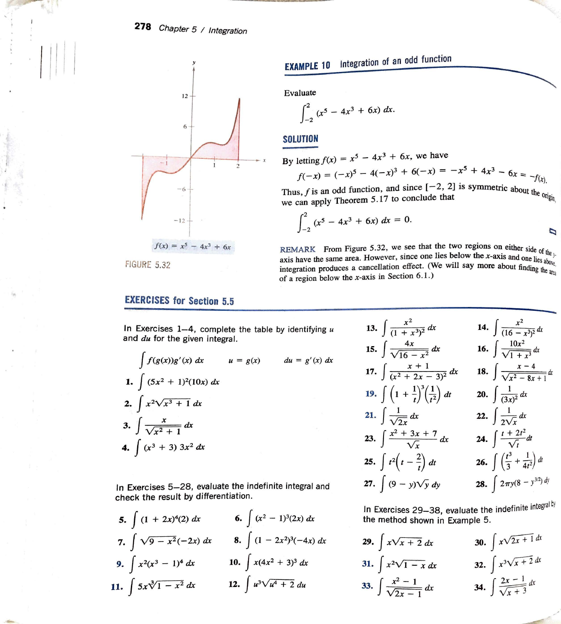

FIGURE 5.32

### **EXERCISES for Section 5.5**

In Exercises 1-4, complete the table by identifying *u*  and *du* for the given integral.

$$
\int f(g(x))g'(x) dx \qquad u = g(x) \qquad du = g'(x) dx
$$
  
1. 
$$
\int (5x^2 + 1)^2 (10x) dx
$$
  
2. 
$$
\int x^2 \sqrt{x^3 + 1} dx
$$
  
3. 
$$
\int \frac{x}{\sqrt{x^2 + 1}} dx
$$
  
4. 
$$
\int (x^3 + 3) 3x^2 dx
$$

In Exercises 5-28, evaluate the indefinite integral and check the result by differentiation.

5. 
$$
\int (1 + 2x)^4 (2) dx
$$
  
\n6.  $\int (x^2 - 1)^3 (2x) dx$   
\n7.  $\int \sqrt{9 - x^2} (-2x) dx$   
\n8.  $\int (1 - 2x^2)^3 (-4x) dx$   
\n9.  $\int x^2 (x^3 - 1)^4 dx$   
\n10.  $\int x (4x^2 + 3)^3 dx$   
\n11.  $\int 5x \sqrt[3]{1 - x^2} dx$   
\n12.  $\int u^3 \sqrt{u^4 + 2} du$ 

# **EXAMPLE** 10 Integration of an odd function

Evaluate

$$
\int_{-2}^{2} (x^5 - 4x^3 + 6x) \ dx.
$$

### **SOLUTION**

By letting  $f(x) = x^5 - 4x^3 + 6x$ , we have

$$
f(-x) = (-x)^5 - 4(-x)^3 + 6(-x) = -x^3 + 4x^3 - 6x = -f(x).
$$

Thus, f is an odd function, and since  $[-2, 2]$  is symmetric about the oriental we can apply Theorem 5.17 to conclude that  $\log_{\alpha}$ 

$$
\int_{-2}^{2} (x^5 - 4x^3 + 6x) dx = 0.
$$

REMARK From Figure 5.32, we see that the two regions on either side of the axis have the same area. However, since one lies below the x-axis and one lies above, integration produces a cancellation effect. (We will say mor

Exercises 1–4, complete the table by identifying *u* 13. 
$$
\int \frac{x^2}{(1 + x^3)^2} dx
$$
 14.  $\int \frac{x^2}{(16 - x^3)^2} dx$   
\n*du* for the given integral.  
\n $\int f(g(x))g'(x) dx$  *u* = *g*(*x*) *du* = *g'*(*x*) *dx*  
\n15.  $\int \frac{4x}{\sqrt{16 - x^2}} dx$  16.  $\int \frac{10x^2}{\sqrt{1 + x^3}} dx$   
\n17.  $\int \frac{x + 1}{(x^2 + 2x - 3)^2} dx$  18.  $\int \frac{x - 4}{\sqrt{x^2 - 8x + 1}} dx$   
\n19.  $\int (1 + \frac{1}{t})^3 (\frac{1}{t^2}) dt$  20.  $\int \frac{1}{(3x)^2} dx$   
\n21.  $\int \frac{1}{\sqrt{2x}} dx$  22.  $\int \frac{1}{2\sqrt{x}} dx$   
\n $(x^3 + 3) 3x^2 dx$   
\n25.  $\int t^2 (t - \frac{2}{t}) dt$  26.  $\int (\frac{t^3}{3} + \frac{1}{4t^2}) dt$   
\n27.  $\int (9 - y)\sqrt{y} dy$  28.  $\int 2\pi y(8 - y^{3/2}) dy$ 

In Exercises 29-38, evaluate the indefinite integral by the method shown in Example 5.

**29.** 
$$
\int x\sqrt{x+2} \, dx
$$
  
\n**30.**  $\int x\sqrt{2x+1} \, dx$   
\n**31.**  $\int x^2\sqrt{1-x} \, dx$   
\n**32.**  $\int x^3\sqrt{x+2} \, dx$   
\n**33.**  $\int \frac{x^2-1}{\sqrt{2x-1}} \, dx$   
\n**34.**  $\int \frac{2x-1}{\sqrt{x+3}} \, dx$